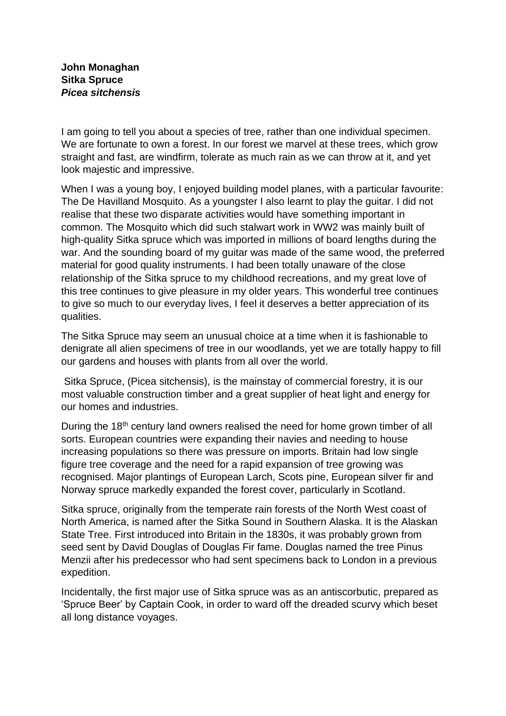**John Monaghan Sitka Spruce** *Picea sitchensis*

I am going to tell you about a species of tree, rather than one individual specimen. We are fortunate to own a forest. In our forest we marvel at these trees, which grow straight and fast, are windfirm, tolerate as much rain as we can throw at it, and yet look majestic and impressive.

When I was a young boy, I enjoyed building model planes, with a particular favourite: The De Havilland Mosquito. As a youngster I also learnt to play the guitar. I did not realise that these two disparate activities would have something important in common. The Mosquito which did such stalwart work in WW2 was mainly built of high-quality Sitka spruce which was imported in millions of board lengths during the war. And the sounding board of my guitar was made of the same wood, the preferred material for good quality instruments. I had been totally unaware of the close relationship of the Sitka spruce to my childhood recreations, and my great love of this tree continues to give pleasure in my older years. This wonderful tree continues to give so much to our everyday lives, I feel it deserves a better appreciation of its qualities.

The Sitka Spruce may seem an unusual choice at a time when it is fashionable to denigrate all alien specimens of tree in our woodlands, yet we are totally happy to fill our gardens and houses with plants from all over the world.

Sitka Spruce, (Picea sitchensis), is the mainstay of commercial forestry, it is our most valuable construction timber and a great supplier of heat light and energy for our homes and industries.

During the 18<sup>th</sup> century land owners realised the need for home grown timber of all sorts. European countries were expanding their navies and needing to house increasing populations so there was pressure on imports. Britain had low single figure tree coverage and the need for a rapid expansion of tree growing was recognised. Major plantings of European Larch, Scots pine, European silver fir and Norway spruce markedly expanded the forest cover, particularly in Scotland.

Sitka spruce, originally from the temperate rain forests of the North West coast of North America, is named after the Sitka Sound in Southern Alaska. It is the Alaskan State Tree. First introduced into Britain in the 1830s, it was probably grown from seed sent by David Douglas of Douglas Fir fame. Douglas named the tree Pinus Menzii after his predecessor who had sent specimens back to London in a previous expedition.

Incidentally, the first major use of Sitka spruce was as an antiscorbutic, prepared as 'Spruce Beer' by Captain Cook, in order to ward off the dreaded scurvy which beset all long distance voyages.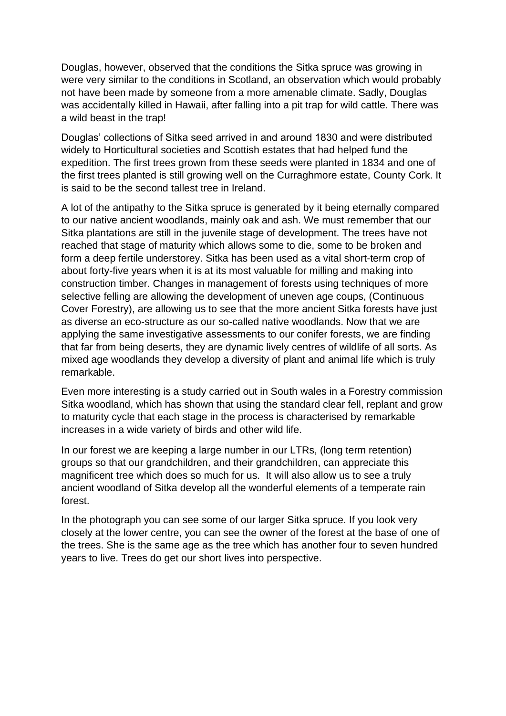Douglas, however, observed that the conditions the Sitka spruce was growing in were very similar to the conditions in Scotland, an observation which would probably not have been made by someone from a more amenable climate. Sadly, Douglas was accidentally killed in Hawaii, after falling into a pit trap for wild cattle. There was a wild beast in the trap!

Douglas' collections of Sitka seed arrived in and around 1830 and were distributed widely to Horticultural societies and Scottish estates that had helped fund the expedition. The first trees grown from these seeds were planted in 1834 and one of the first trees planted is still growing well on the Curraghmore estate, County Cork. It is said to be the second tallest tree in Ireland.

A lot of the antipathy to the Sitka spruce is generated by it being eternally compared to our native ancient woodlands, mainly oak and ash. We must remember that our Sitka plantations are still in the juvenile stage of development. The trees have not reached that stage of maturity which allows some to die, some to be broken and form a deep fertile understorey. Sitka has been used as a vital short-term crop of about forty-five years when it is at its most valuable for milling and making into construction timber. Changes in management of forests using techniques of more selective felling are allowing the development of uneven age coups, (Continuous Cover Forestry), are allowing us to see that the more ancient Sitka forests have just as diverse an eco-structure as our so-called native woodlands. Now that we are applying the same investigative assessments to our conifer forests, we are finding that far from being deserts, they are dynamic lively centres of wildlife of all sorts. As mixed age woodlands they develop a diversity of plant and animal life which is truly remarkable.

Even more interesting is a study carried out in South wales in a Forestry commission Sitka woodland, which has shown that using the standard clear fell, replant and grow to maturity cycle that each stage in the process is characterised by remarkable increases in a wide variety of birds and other wild life.

In our forest we are keeping a large number in our LTRs, (long term retention) groups so that our grandchildren, and their grandchildren, can appreciate this magnificent tree which does so much for us. It will also allow us to see a truly ancient woodland of Sitka develop all the wonderful elements of a temperate rain forest.

In the photograph you can see some of our larger Sitka spruce. If you look very closely at the lower centre, you can see the owner of the forest at the base of one of the trees. She is the same age as the tree which has another four to seven hundred years to live. Trees do get our short lives into perspective.